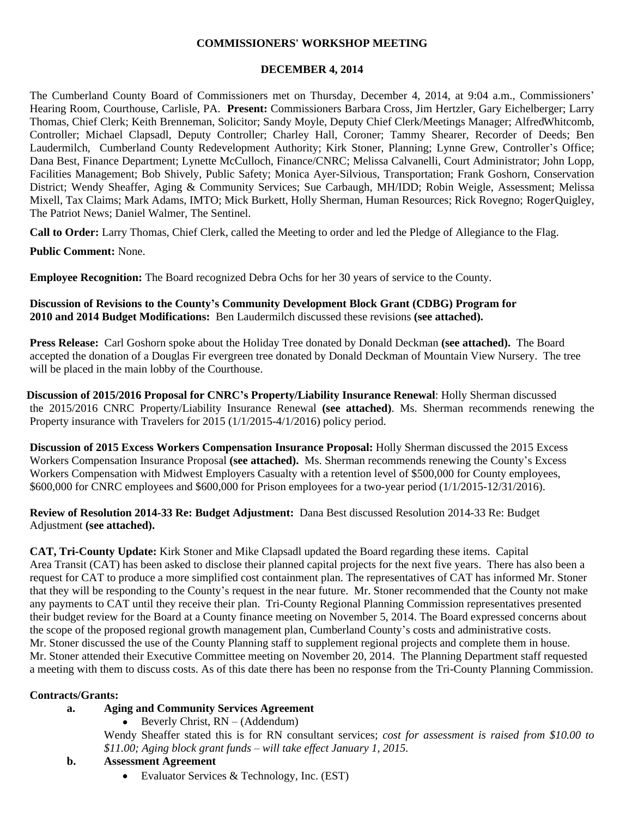#### **COMMISSIONERS' WORKSHOP MEETING**

#### **DECEMBER 4, 2014**

The Cumberland County Board of Commissioners met on Thursday, December 4, 2014, at 9:04 a.m., Commissioners' Hearing Room, Courthouse, Carlisle, PA. **Present:** Commissioners Barbara Cross, Jim Hertzler, Gary Eichelberger; Larry Thomas, Chief Clerk; Keith Brenneman, Solicitor; Sandy Moyle, Deputy Chief Clerk/Meetings Manager; AlfredWhitcomb, Controller; Michael Clapsadl, Deputy Controller; Charley Hall, Coroner; Tammy Shearer, Recorder of Deeds; Ben Laudermilch, Cumberland County Redevelopment Authority; Kirk Stoner, Planning; Lynne Grew, Controller's Office; Dana Best, Finance Department; Lynette McCulloch, Finance/CNRC; Melissa Calvanelli, Court Administrator; John Lopp, Facilities Management; Bob Shively, Public Safety; Monica Ayer-Silvious, Transportation; Frank Goshorn, Conservation District; Wendy Sheaffer, Aging & Community Services; Sue Carbaugh, MH/IDD; Robin Weigle, Assessment; Melissa Mixell, Tax Claims; Mark Adams, IMTO; Mick Burkett, Holly Sherman, Human Resources; Rick Rovegno; RogerQuigley, The Patriot News; Daniel Walmer, The Sentinel.

**Call to Order:** Larry Thomas, Chief Clerk, called the Meeting to order and led the Pledge of Allegiance to the Flag.

**Public Comment:** None.

**Employee Recognition:** The Board recognized Debra Ochs for her 30 years of service to the County.

**Discussion of Revisions to the County's Community Development Block Grant (CDBG) Program for 2010 and 2014 Budget Modifications:** Ben Laudermilch discussed these revisions **(see attached).**

**Press Release:** Carl Goshorn spoke about the Holiday Tree donated by Donald Deckman **(see attached).** The Board accepted the donation of a Douglas Fir evergreen tree donated by Donald Deckman of Mountain View Nursery. The tree will be placed in the main lobby of the Courthouse.

 **Discussion of 2015/2016 Proposal for CNRC's Property/Liability Insurance Renewal**: Holly Sherman discussed the 2015/2016 CNRC Property/Liability Insurance Renewal **(see attached)**. Ms. Sherman recommends renewing the Property insurance with Travelers for 2015 (1/1/2015-4/1/2016) policy period.

**Discussion of 2015 Excess Workers Compensation Insurance Proposal:** Holly Sherman discussed the 2015 Excess Workers Compensation Insurance Proposal **(see attached).** Ms. Sherman recommends renewing the County's Excess Workers Compensation with Midwest Employers Casualty with a retention level of \$500,000 for County employees, \$600,000 for CNRC employees and \$600,000 for Prison employees for a two-year period (1/1/2015-12/31/2016).

**Review of Resolution 2014-33 Re: Budget Adjustment:** Dana Best discussed Resolution 2014-33 Re: Budget Adjustment **(see attached).**

**CAT, Tri-County Update:** Kirk Stoner and Mike Clapsadl updated the Board regarding these items. Capital Area Transit (CAT) has been asked to disclose their planned capital projects for the next five years. There has also been a request for CAT to produce a more simplified cost containment plan. The representatives of CAT has informed Mr. Stoner that they will be responding to the County's request in the near future. Mr. Stoner recommended that the County not make any payments to CAT until they receive their plan. Tri-County Regional Planning Commission representatives presented their budget review for the Board at a County finance meeting on November 5, 2014. The Board expressed concerns about the scope of the proposed regional growth management plan, Cumberland County's costs and administrative costs. Mr. Stoner discussed the use of the County Planning staff to supplement regional projects and complete them in house. Mr. Stoner attended their Executive Committee meeting on November 20, 2014. The Planning Department staff requested a meeting with them to discuss costs. As of this date there has been no response from the Tri-County Planning Commission.

#### **Contracts/Grants:**

- **a. Aging and Community Services Agreement**
	- Beverly Christ,  $RN (Addendum)$

Wendy Sheaffer stated this is for RN consultant services; *cost for assessment is raised from \$10.00 to \$11.00; Aging block grant funds – will take effect January 1, 2015.*

#### **b. Assessment Agreement**

Evaluator Services & Technology, Inc. (EST)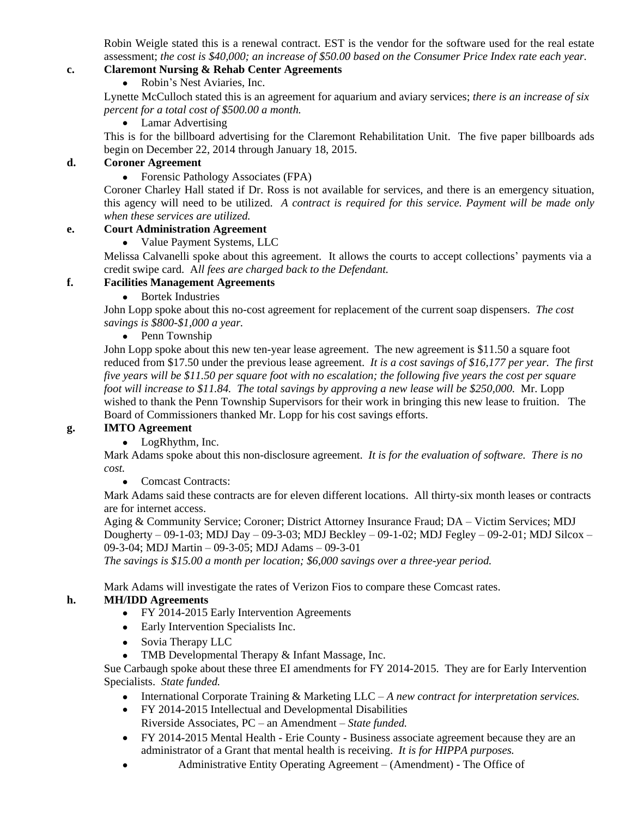Robin Weigle stated this is a renewal contract. EST is the vendor for the software used for the real estate assessment; *the cost is \$40,000; an increase of \$50.00 based on the Consumer Price Index rate each year.*

## **c. Claremont Nursing & Rehab Center Agreements**

• Robin's Nest Aviaries, Inc.

Lynette McCulloch stated this is an agreement for aquarium and aviary services; *there is an increase of six percent for a total cost of \$500.00 a month.*

• Lamar Advertising

This is for the billboard advertising for the Claremont Rehabilitation Unit. The five paper billboards ads begin on December 22, 2014 through January 18, 2015.

#### **d. Coroner Agreement**

• Forensic Pathology Associates (FPA)

Coroner Charley Hall stated if Dr. Ross is not available for services, and there is an emergency situation, this agency will need to be utilized. *A contract is required for this service. Payment will be made only when these services are utilized.*

## **e. Court Administration Agreement**

• Value Payment Systems, LLC

Melissa Calvanelli spoke about this agreement. It allows the courts to accept collections' payments via a credit swipe card. A*ll fees are charged back to the Defendant.*

## **f. Facilities Management Agreements**

• Bortek Industries

John Lopp spoke about this no-cost agreement for replacement of the current soap dispensers. *The cost savings is \$800-\$1,000 a year.* 

• Penn Township

John Lopp spoke about this new ten-year lease agreement. The new agreement is \$11.50 a square foot reduced from \$17.50 under the previous lease agreement. *It is a cost savings of \$16,177 per year. The first five years will be \$11.50 per square foot with no escalation; the following five years the cost per square foot will increase to \$11.84. The total savings by approving a new lease will be \$250,000.* Mr. Lopp wished to thank the Penn Township Supervisors for their work in bringing this new lease to fruition. The Board of Commissioners thanked Mr. Lopp for his cost savings efforts.

## **g. IMTO Agreement**

• LogRhythm, Inc.

Mark Adams spoke about this non-disclosure agreement. *It is for the evaluation of software. There is no cost.*

• Comcast Contracts:

Mark Adams said these contracts are for eleven different locations. All thirty-six month leases or contracts are for internet access.

Aging & Community Service; Coroner; District Attorney Insurance Fraud; DA – Victim Services; MDJ Dougherty – 09-1-03; MDJ Day – 09-3-03; MDJ Beckley – 09-1-02; MDJ Fegley – 09-2-01; MDJ Silcox – 09-3-04; MDJ Martin – 09-3-05; MDJ Adams – 09-3-01

*The savings is \$15.00 a month per location; \$6,000 savings over a three-year period.*

Mark Adams will investigate the rates of Verizon Fios to compare these Comcast rates.

## **h. MH/IDD Agreements**

- FY 2014-2015 Early Intervention Agreements
- Early Intervention Specialists Inc.
- Sovia Therapy LLC
- TMB Developmental Therapy & Infant Massage, Inc.

Sue Carbaugh spoke about these three EI amendments for FY 2014-2015. They are for Early Intervention Specialists. *State funded.*

- International Corporate Training & Marketing LLC *A new contract for interpretation services.*
- FY 2014-2015 Intellectual and Developmental Disabilities
- Riverside Associates, PC an Amendment *State funded.*
- FY 2014-2015 Mental Health Erie County Business associate agreement because they are an administrator of a Grant that mental health is receiving. *It is for HIPPA purposes.*
- Administrative Entity Operating Agreement (Amendment) The Office of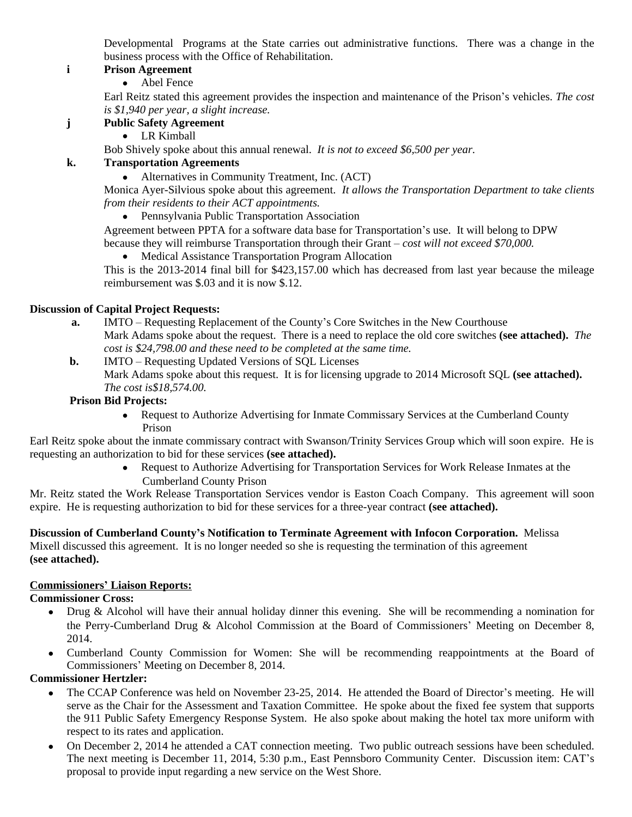Developmental Programs at the State carries out administrative functions. There was a change in the business process with the Office of Rehabilitation.

## **i Prison Agreement**

Abel Fence

Earl Reitz stated this agreement provides the inspection and maintenance of the Prison's vehicles. *The cost is \$1,940 per year, a slight increase.*

# **j Public Safety Agreement**

• LR Kimball

Bob Shively spoke about this annual renewal. *It is not to exceed \$6,500 per year.* 

# **k. Transportation Agreements**

Alternatives in Community Treatment, Inc. (ACT)

Monica Ayer-Silvious spoke about this agreement. *It allows the Transportation Department to take clients from their residents to their ACT appointments.*

Pennsylvania Public Transportation Association

Agreement between PPTA for a software data base for Transportation's use. It will belong to DPW because they will reimburse Transportation through their Grant – *cost will not exceed \$70,000.*

• Medical Assistance Transportation Program Allocation

This is the 2013-2014 final bill for \$423,157.00 which has decreased from last year because the mileage reimbursement was \$.03 and it is now \$.12.

## **Discussion of Capital Project Requests:**

- **a.** IMTO Requesting Replacement of the County's Core Switches in the New Courthouse Mark Adams spoke about the request. There is a need to replace the old core switches **(see attached).** *The cost is \$24,798.00 and these need to be completed at the same time.*
- **b.** IMTO Requesting Updated Versions of SQL Licenses Mark Adams spoke about this request. It is for licensing upgrade to 2014 Microsoft SQL **(see attached).** *The cost is\$18,574.00.*

## **Prison Bid Projects:**

• Request to Authorize Advertising for Inmate Commissary Services at the Cumberland County Prison

Earl Reitz spoke about the inmate commissary contract with Swanson/Trinity Services Group which will soon expire. He is requesting an authorization to bid for these services **(see attached).**

 Request to Authorize Advertising for Transportation Services for Work Release Inmates at the Cumberland County Prison

Mr. Reitz stated the Work Release Transportation Services vendor is Easton Coach Company. This agreement will soon expire. He is requesting authorization to bid for these services for a three-year contract **(see attached).**

**Discussion of Cumberland County's Notification to Terminate Agreement with Infocon Corporation.** Melissa Mixell discussed this agreement. It is no longer needed so she is requesting the termination of this agreement

**(see attached).**

## **Commissioners' Liaison Reports:**

## **Commissioner Cross:**

- Drug & Alcohol will have their annual holiday dinner this evening. She will be recommending a nomination for the Perry-Cumberland Drug & Alcohol Commission at the Board of Commissioners' Meeting on December 8, 2014.
- Cumberland County Commission for Women: She will be recommending reappointments at the Board of Commissioners' Meeting on December 8, 2014.

## **Commissioner Hertzler:**

- The CCAP Conference was held on November 23-25, 2014. He attended the Board of Director's meeting. He will serve as the Chair for the Assessment and Taxation Committee. He spoke about the fixed fee system that supports the 911 Public Safety Emergency Response System. He also spoke about making the hotel tax more uniform with respect to its rates and application.
- On December 2, 2014 he attended a CAT connection meeting. Two public outreach sessions have been scheduled. The next meeting is December 11, 2014, 5:30 p.m., East Pennsboro Community Center. Discussion item: CAT's proposal to provide input regarding a new service on the West Shore.